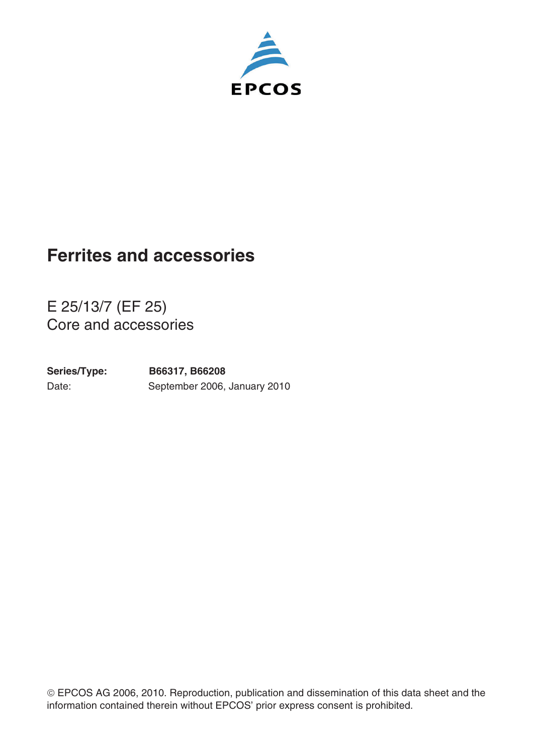

# **Ferrites and accessories**

E 25/13/7 (EF 25) Core and accessories

Date: September 2006, January 2010 **Series/Type: B66317, B66208**

© EPCOS AG 2006, 2010. Reproduction, publication and dissemination of this data sheet and the information contained therein without EPCOS' prior express consent is prohibited.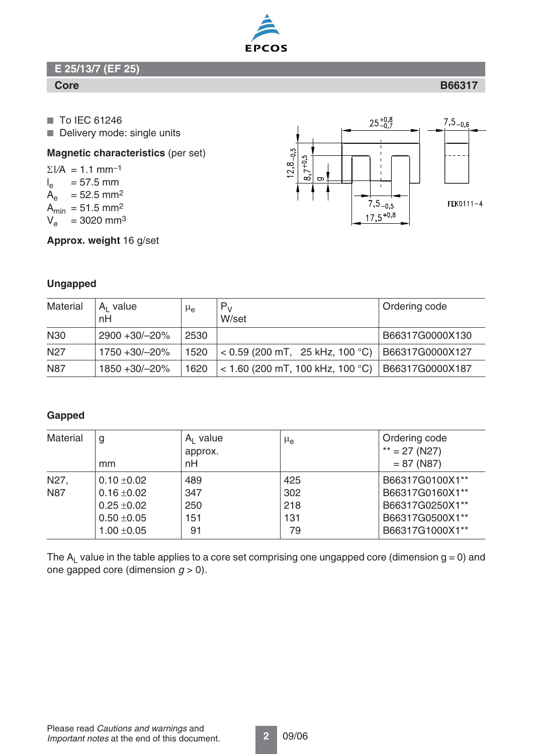

**Core B66317**

■ To IEC 61246

■ Delivery mode: single units

**Magnetic characteristics** (per set)

 $\Sigma I/A = 1.1$  mm<sup>-1</sup>  $I_{e}$  $I_e$  = 57.5 mm<br> $A_e$  = 52.5 mm  $= 52.5$  mm<sup>2</sup>  $A_{min} = 51.5$  mm<sup>2</sup>  $V_e$  = 3020 mm<sup>3</sup>

**Approx. weight** 16 g/set



# **Ungapped**

| Material        | $A1$ value<br>nH | $\mu_{\rm e}$ | $P_V$<br>W/set                           | Ordering code   |
|-----------------|------------------|---------------|------------------------------------------|-----------------|
| N <sub>30</sub> | 2900 +30/-20%    | 2530          |                                          | B66317G0000X130 |
| N <sub>27</sub> | 1750 +30/-20%    | 1520          | $\vert$ < 0.59 (200 mT, 25 kHz, 100 °C)  | B66317G0000X127 |
| <b>N87</b>      | 1850 +30/-20%    | 1620          | $\vert$ < 1.60 (200 mT, 100 kHz, 100 °C) | B66317G0000X187 |

# **Gapped**

| Material          | g<br>mm         | $A1$ value<br>approx.<br>nH | $\mu_{\rm e}$ | Ordering code<br>$**$ = 27 (N27)<br>$= 87 (N87)$ |
|-------------------|-----------------|-----------------------------|---------------|--------------------------------------------------|
| N <sub>27</sub> , | $0.10 \pm 0.02$ | 489                         | 425           | B66317G0100X1**                                  |
| <b>N87</b>        | $0.16 \pm 0.02$ | 347                         | 302           | B66317G0160X1**                                  |
|                   | $0.25 \pm 0.02$ | 250                         | 218           | B66317G0250X1**                                  |
|                   | $0.50 + 0.05$   | 151                         | 131           | B66317G0500X1**                                  |
|                   | $1.00 \pm 0.05$ | 91                          | 79            | B66317G1000X1**                                  |

The  $A_L$  value in the table applies to a core set comprising one ungapped core (dimension  $g = 0$ ) and one gapped core (dimension  $g > 0$ ).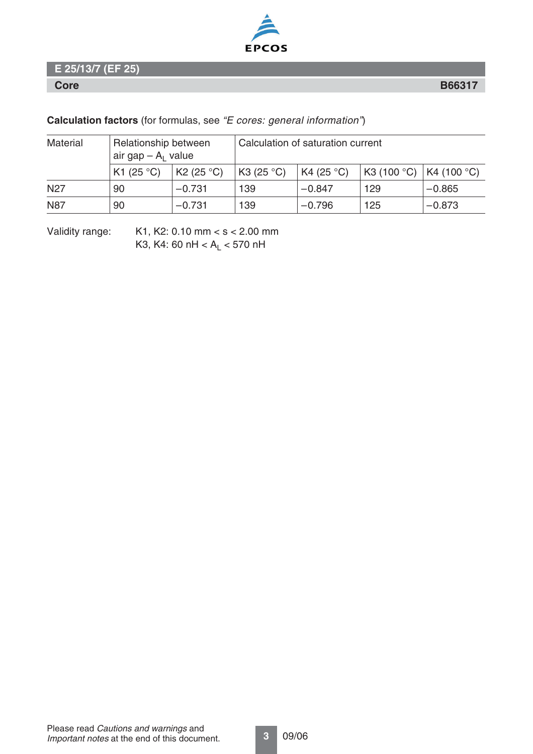

**Core B66317**

**Calculation factors** (for formulas, see "E cores: general information")

| Material        | Relationship between<br>air gap $- A1$ value |           | Calculation of saturation current |           |                     |            |  |
|-----------------|----------------------------------------------|-----------|-----------------------------------|-----------|---------------------|------------|--|
|                 | K1 (25 $^{\circ}$ C)                         | K2(25 °C) | K3 $(25 °C)$                      | K4(25 °C) | $ $ K3 (100 °C) $ $ | K4(100 °C) |  |
| N <sub>27</sub> | 90                                           | $-0.731$  | 139                               | $-0.847$  | 129                 | $-0.865$   |  |
| <b>N87</b>      | 90                                           | $-0.731$  | 139                               | $-0.796$  | 125                 | $-0.873$   |  |

Validity range: K1, K2: 0.10 mm < s < 2.00 mm K3, K4: 60 nH <  $A_L$  < 570 nH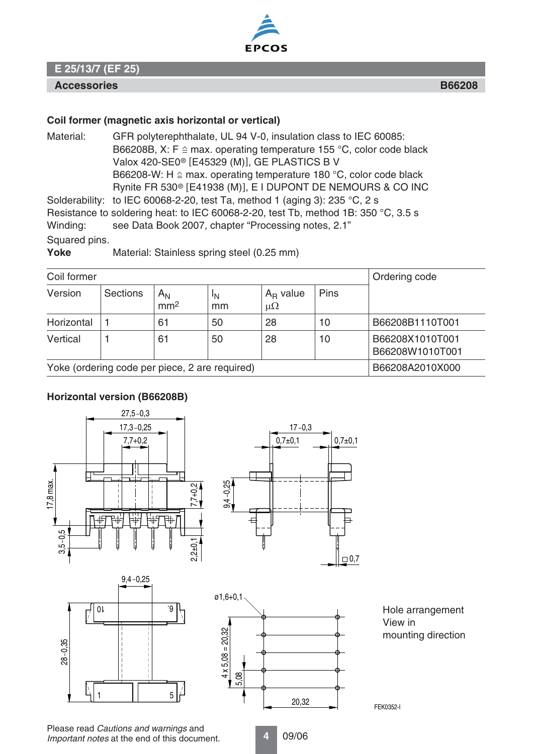

#### **Accessories B66208**

### **Coil former (magnetic axis horizontal or vertical)**

Material: GFR polyterephthalate, UL 94 V-0, insulation class to IEC 60085: B66208B, X: F  $\triangleq$  max. operating temperature 155 °C, color code black Valox 420-SE0<sup>®</sup> [E45329 (M)], GE PLASTICS B V B66208-W: H  $\cong$  max. operating temperature 180 °C, color code black Rynite FR 530<sup>®</sup> [E41938 (M)], E I DUPONT DE NEMOURS & CO INC Solderability: to IEC 60068-2-20, test Ta, method 1 (aging 3): 235 °C, 2 s Resistance to soldering heat: to IEC 60068-2-20, test Tb, method 1B: 350 °C, 3.5 s Winding: see Data Book 2007, chapter "Processing notes, 2.1"

Squared pins.

Yoke Material: Stainless spring steel (0.25 mm)

| Coil former |                                                |                          |          |                            |      | Ordering code                      |
|-------------|------------------------------------------------|--------------------------|----------|----------------------------|------|------------------------------------|
| Version     | <b>Sections</b>                                | $A_N$<br>mm <sup>2</sup> | IN<br>mm | $A_R$ value<br>$\mu\Omega$ | Pins |                                    |
| Horizontal  |                                                | 61                       | 50       | 28                         | 10   | B66208B1110T001                    |
| Vertical    |                                                | 61                       | 50       | 28                         | 10   | B66208X1010T001<br>B66208W1010T001 |
|             | Yoke (ordering code per piece, 2 are required) | B66208A2010X000          |          |                            |      |                                    |

# **Horizontal version (B66208B)**









Hole arrangement View in mounting direction

FEK0352-I

Please read Cautions and warnings and Important notes at the end of this document.

**4** 09/06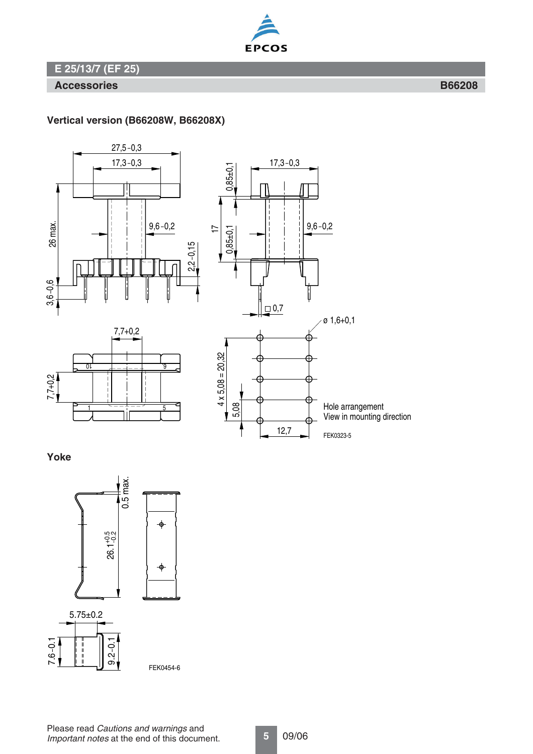

# **Vertical version (B66208W, B66208X)**



**Yoke** 

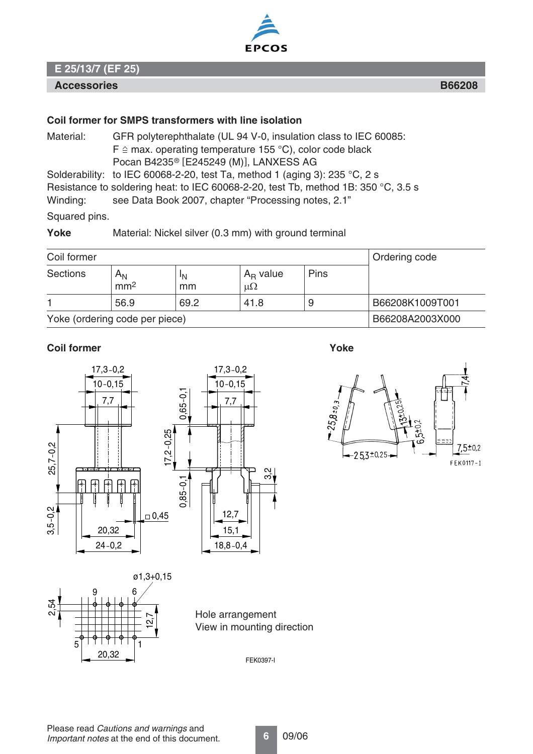

#### **Accessories B66208**

# **Coil former for SMPS transformers with line isolation**

Material: GFR polyterephthalate (UL 94 V-0, insulation class to IEC 60085:  $F \triangleq$  max. operating temperature 155 °C), color code black Pocan B4235<sup>®</sup> [E245249 (M)], LANXESS AG Solderability: to IEC 60068-2-20, test Ta, method 1 (aging 3): 235 °C, 2 s

Resistance to soldering heat: to IEC 60068-2-20, test Tb, method 1B: 350 °C, 3.5 s

Winding: see Data Book 2007, chapter "Processing notes, 2.1"

Squared pins.

**Yoke** Material: Nickel silver (0.3 mm) with ground terminal

| Coil former                    |                            | Ordering code   |                              |      |                 |
|--------------------------------|----------------------------|-----------------|------------------------------|------|-----------------|
| Sections                       | $A_{N}$<br>mm <sup>2</sup> | 'N<br>mm        | $A_{R}$ value<br>$\mu\Omega$ | Pins |                 |
|                                | 56.9                       | 69.2            | 41.8                         | 9    | B66208K1009T001 |
| Yoke (ordering code per piece) |                            | B66208A2003X000 |                              |      |                 |

# **Coil former** Yoke





12,7

Hole arrangement View in mounting direction

FEK0397-I



5 | ' ' ' ' ' ' ' ' | 1

20,32

9

2,54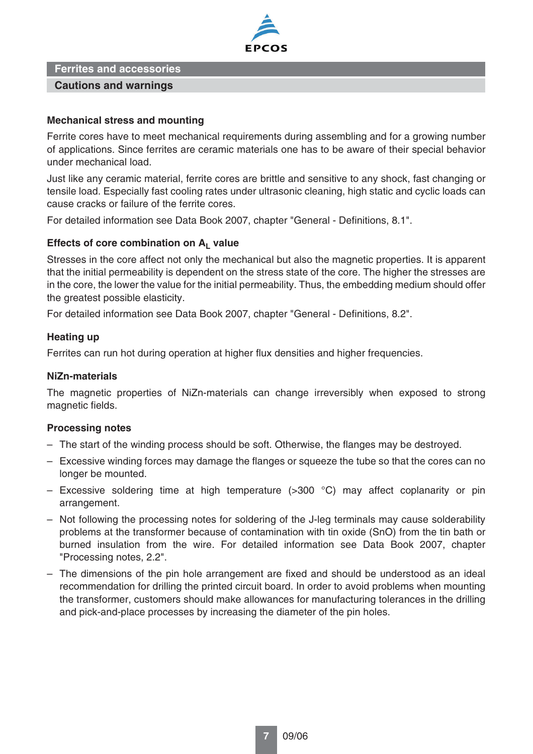

**Ferrites and accessories**

# **Cautions and warnings**

# **Mechanical stress and mounting**

Ferrite cores have to meet mechanical requirements during assembling and for a growing number of applications. Since ferrites are ceramic materials one has to be aware of their special behavior under mechanical load.

Just like any ceramic material, ferrite cores are brittle and sensitive to any shock, fast changing or tensile load. Especially fast cooling rates under ultrasonic cleaning, high static and cyclic loads can cause cracks or failure of the ferrite cores.

For detailed information see Data Book 2007, chapter "General - Definitions, 8.1".

### Effects of core combination on A<sub>1</sub> value

Stresses in the core affect not only the mechanical but also the magnetic properties. It is apparent that the initial permeability is dependent on the stress state of the core. The higher the stresses are in the core, the lower the value for the initial permeability. Thus, the embedding medium should offer the greatest possible elasticity.

For detailed information see Data Book 2007, chapter "General - Definitions, 8.2".

### **Heating up**

Ferrites can run hot during operation at higher flux densities and higher frequencies.

#### **NiZn-materials**

The magnetic properties of NiZn-materials can change irreversibly when exposed to strong magnetic fields.

#### **Processing notes**

- The start of the winding process should be soft. Otherwise, the flanges may be destroyed.
- Excessive winding forces may damage the flanges or squeeze the tube so that the cores can no longer be mounted.
- Excessive soldering time at high temperature ( $>300$  °C) may affect coplanarity or pin arrangement.
- Not following the processing notes for soldering of the J-leg terminals may cause solderability problems at the transformer because of contamination with tin oxide (SnO) from the tin bath or burned insulation from the wire. For detailed information see Data Book 2007, chapter "Processing notes, 2.2".
- The dimensions of the pin hole arrangement are fixed and should be understood as an ideal recommendation for drilling the printed circuit board. In order to avoid problems when mounting the transformer, customers should make allowances for manufacturing tolerances in the drilling and pick-and-place processes by increasing the diameter of the pin holes.